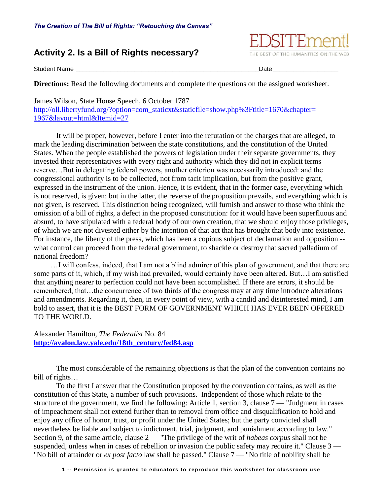# **Activity 2. Is a Bill of Rights necessary?**

Student Name **Date** 

THE BEST OF THE HUMANITIES ON THE WEB

**Directions:** Read the following documents and complete the questions on the assigned worksheet.

### James Wilson, State House Speech, 6 October 1787

http://oll.libertyfund.org/?option=com\_staticxt&staticfile=show.php%3Ftitle=1670&chapter= [1967&layout=html&Itemid=27](http://oll.libertyfund.org/?option=com_staticxt&staticfile=show.php%3Ftitle=1670&chapter=%201967&layout=html&Itemid=27)

It will be proper, however, before I enter into the refutation of the charges that are alleged, to mark the leading discrimination between the state constitutions, and the constitution of the United States. When the people established the powers of legislation under their separate governments, they invested their representatives with every right and authority which they did not in explicit terms reserve…But in delegating federal powers, another criterion was necessarily introduced: and the congressional authority is to be collected, not from tacit implication, but from the positive grant, expressed in the instrument of the union. Hence, it is evident, that in the former case, everything which is not reserved, is given: but in the latter, the reverse of the proposition prevails, and everything which is not given, is reserved. This distinction being recognized, will furnish and answer to those who think the omission of a bill of rights, a defect in the proposed constitution: for it would have been superfluous and absurd, to have stipulated with a federal body of our own creation, that we should enjoy those privileges, of which we are not divested either by the intention of that act that has brought that body into existence. For instance, the liberty of the press, which has been a copious subject of declamation and opposition - what control can proceed from the federal government, to shackle or destroy that sacred palladium of national freedom?

…I will confess, indeed, that I am not a blind admirer of this plan of government, and that there are some parts of it, which, if my wish had prevailed, would certainly have been altered. But…I am satisfied that anything nearer to perfection could not have been accomplished. If there are errors, it should be remembered, that…the concurrence of two thirds of the congress may at any time introduce alterations and amendments. Regarding it, then, in every point of view, with a candid and disinterested mind, I am bold to assert, that it is the BEST FORM OF GOVERNMENT WHICH HAS EVER BEEN OFFERED TO THE WORLD.

### Alexander Hamilton, *The Federalist* No. 84 **[http://avalon.law.yale.edu/18th\\_century/fed84.asp](http://avalon.law.yale.edu/18th_century/fed84.asp)**

The most considerable of the remaining objections is that the plan of the convention contains no bill of rights…

To the first I answer that the Constitution proposed by the convention contains, as well as the constitution of this State, a number of such provisions. Independent of those which relate to the structure of the government, we find the following: Article 1, section 3, clause 7 — "Judgment in cases of impeachment shall not extend further than to removal from office and disqualification to hold and enjoy any office of honor, trust, or profit under the United States; but the party convicted shall nevertheless be liable and subject to indictment, trial, judgment, and punishment according to law." Section 9, of the same article, clause 2 — "The privilege of the writ of *habeas corpus* shall not be suspended, unless when in cases of rebellion or invasion the public safety may require it." Clause 3 — "No bill of attainder or *ex post facto* law shall be passed." Clause 7 — "No title of nobility shall be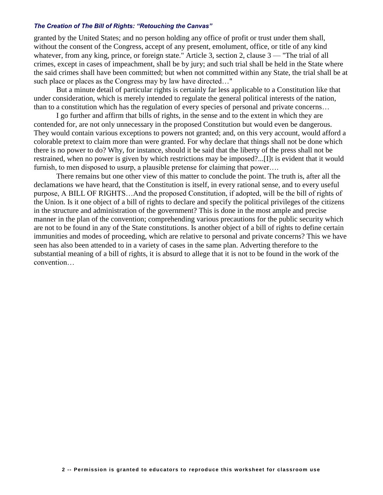### *The Creation of The Bill of Rights: "Retouching the Canvas"*

granted by the United States; and no person holding any office of profit or trust under them shall, without the consent of the Congress, accept of any present, emolument, office, or title of any kind whatever, from any king, prince, or foreign state." Article 3, section 2, clause  $3$  — "The trial of all crimes, except in cases of impeachment, shall be by jury; and such trial shall be held in the State where the said crimes shall have been committed; but when not committed within any State, the trial shall be at such place or places as the Congress may by law have directed..."

But a minute detail of particular rights is certainly far less applicable to a Constitution like that under consideration, which is merely intended to regulate the general political interests of the nation, than to a constitution which has the regulation of every species of personal and private concerns…

I go further and affirm that bills of rights, in the sense and to the extent in which they are contended for, are not only unnecessary in the proposed Constitution but would even be dangerous. They would contain various exceptions to powers not granted; and, on this very account, would afford a colorable pretext to claim more than were granted. For why declare that things shall not be done which there is no power to do? Why, for instance, should it be said that the liberty of the press shall not be restrained, when no power is given by which restrictions may be imposed?...[I]t is evident that it would furnish, to men disposed to usurp, a plausible pretense for claiming that power….

There remains but one other view of this matter to conclude the point. The truth is, after all the declamations we have heard, that the Constitution is itself, in every rational sense, and to every useful purpose, A BILL OF RIGHTS…And the proposed Constitution, if adopted, will be the bill of rights of the Union. Is it one object of a bill of rights to declare and specify the political privileges of the citizens in the structure and administration of the government? This is done in the most ample and precise manner in the plan of the convention; comprehending various precautions for the public security which are not to be found in any of the State constitutions. Is another object of a bill of rights to define certain immunities and modes of proceeding, which are relative to personal and private concerns? This we have seen has also been attended to in a variety of cases in the same plan. Adverting therefore to the substantial meaning of a bill of rights, it is absurd to allege that it is not to be found in the work of the convention…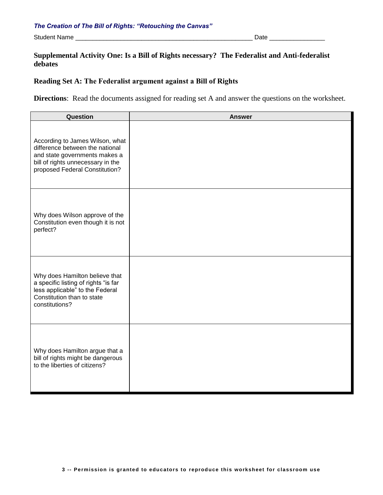Student Name \_\_\_\_\_\_\_\_\_\_\_\_\_\_\_\_\_\_\_\_\_\_\_\_\_\_\_\_\_\_\_\_\_\_\_\_\_\_\_\_\_\_\_\_\_\_\_\_\_\_\_ Date \_\_\_\_\_\_\_\_\_\_\_\_\_\_\_\_

# **Supplemental Activity One: Is a Bill of Rights necessary? The Federalist and Anti-federalist debates**

# **Reading Set A: The Federalist argument against a Bill of Rights**

**Directions**: Read the documents assigned for reading set A and answer the questions on the worksheet.

| Question                                                                                                                                                                   | <b>Answer</b> |
|----------------------------------------------------------------------------------------------------------------------------------------------------------------------------|---------------|
| According to James Wilson, what<br>difference between the national<br>and state governments makes a<br>bill of rights unnecessary in the<br>proposed Federal Constitution? |               |
| Why does Wilson approve of the<br>Constitution even though it is not<br>perfect?                                                                                           |               |
| Why does Hamilton believe that<br>a specific listing of rights "is far<br>less applicable" to the Federal<br>Constitution than to state<br>constitutions?                  |               |
| Why does Hamilton argue that a<br>bill of rights might be dangerous<br>to the liberties of citizens?                                                                       |               |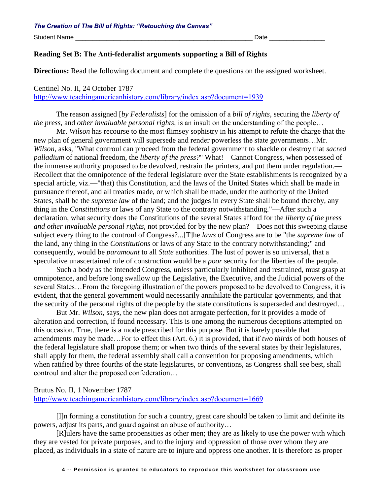Student Name \_\_\_\_\_\_\_\_\_\_\_\_\_\_\_\_\_\_\_\_\_\_\_\_\_\_\_\_\_\_\_\_\_\_\_\_\_\_\_\_\_\_\_\_\_\_\_\_\_\_\_ Date \_\_\_\_\_\_\_\_\_\_\_\_\_\_\_\_

### **Reading Set B: The Anti-federalist arguments supporting a Bill of Rights**

**Directions:** Read the following document and complete the questions on the assigned worksheet.

#### Centinel No. II, 24 October 1787

<http://www.teachingamericanhistory.com/library/index.asp?document=1939>

The reason assigned [*by Federalists*] for the omission of a *bill of rights*, securing the *liberty of the press,* and *other invaluable personal rights,* is an insult on the understanding of the people…

Mr. *Wilson* has recourse to the most flimsey sophistry in his attempt to refute the charge that the new plan of general government will supersede and render powerless the state governments…Mr. *Wilson,* asks, "What controul can proceed from the federal government to shackle or destroy that *sacred palladium* of national freedom, the *liberty of the press?*" What!—Cannot Congress, when possessed of the immense authority proposed to be devolved, restrain the printers, and put them under regulation.— Recollect that the omnipotence of the federal legislature over the State establishments is recognized by a special article, viz.—"that) this Constitution, and the laws of the United States which shall be made in pursuance thereof, and all treaties made, or which shall be made, under the authority of the United States, shall be the *supreme law* of the land; and the judges in every State shall be bound thereby, any thing in the *Constitutions* or laws of any State to the contrary notwithstanding."—After such a declaration, what security does the Constitutions of the several States afford for the *liberty of the press and other invaluable personal rights,* not provided for by the new plan?—Does not this sweeping clause subject every thing to the controul of Congress?...[T]he *laws* of Congress are to be "the *supreme law* of the land, any thing in the *Constitutions* or laws of any State to the contrary notwithstanding;" and consequently, would be *paramount* to all *State* authorities. The lust of power is so universal, that a speculative unascertained rule of construction would be a *poor* security for the liberties of the people.

Such a body as the intended Congress, unless particularly inhibited and restrained, must grasp at omnipotence, and before long swallow up the Legislative, the Executive, and the Judicial powers of the several States…From the foregoing illustration of the powers proposed to be devolved to Congress, it is evident, that the general government would necessarily annihilate the particular governments, and that the security of the personal rights of the people by the state constitutions is superseded and destroyed…

But Mr. *Wilson,* says, the new plan does not arrogate perfection, for it provides a mode of alteration and correction, if found necessary. This is one among the numerous deceptions attempted on this occasion. True, there is a mode prescribed for this purpose. But it is barely possible that amendments may be made…For to effect this (Art. 6.) it is provided, that if *two thirds* of both houses of the federal legislature shall propose them; or when two thirds of the several states by their legislatures, shall apply for them, the federal assembly shall call a convention for proposing amendments, which when ratified by three fourths of the state legislatures, or conventions, as Congress shall see best, shall controul and alter the proposed confederation…

Brutus No. II, 1 November 1787 <http://www.teachingamericanhistory.com/library/index.asp?document=1669>

[I]n forming a constitution for such a country, great care should be taken to limit and definite its powers, adjust its parts, and guard against an abuse of authority…

[R]ulers have the same propensities as other men; they are as likely to use the power with which they are vested for private purposes, and to the injury and oppression of those over whom they are placed, as individuals in a state of nature are to injure and oppress one another. It is therefore as proper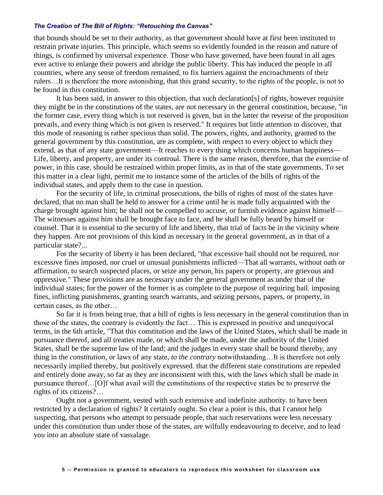### *The Creation of The Bill of Rights: "Retouching the Canvas"*

that bounds should be set to their authority, as that government should have at first been instituted to restrain private injuries. This principle, which seems so evidently founded in the reason and nature of things, is confirmed by universal experience. Those who have governed, have been found in all ages ever active to enlarge their powers and abridge the public liberty. This has induced the people in all countries, where any sense of freedom remained, to fix barriers against the encroachments of their rulers…It is therefore the more astonishing, that this grand security, to the rights of the people, is not to be found in this constitution.

It has been said, in answer to this objection, that such declaration[s] of rights, however requisite they might be in the constitutions of the states, are not necessary in the general constitution, because, "in the former case, every thing which is not reserved is given, but in the latter the reverse of the proposition prevails, and every thing which is not given is reserved." It requires but little attention to discover, that this mode of reasoning is rather specious than solid. The powers, rights, and authority, granted to the general government by this constitution, are as complete, with respect to every object to which they extend, as that of any state government—It reaches to every thing which concerns human happiness— Life, liberty, and property, are under its controul. There is the same reason, therefore, that the exercise of power, in this case, should be restrained within proper limits, as in that of the state governments. To set this matter in a clear light, permit me to instance some of the articles of the bills of rights of the individual states, and apply them to the case in question.

For the security of life, in criminal prosecutions, the bills of rights of most of the states have declared, that no man shall be held to answer for a crime until he is made fully acquainted with the charge brought against him; he shall not be compelled to accuse, or furnish evidence against himself— The witnesses against him shall be brought face to face, and he shall be fully heard by himself or counsel. That it is essential to the security of life and liberty, that trial of facts be in the vicinity where they happen. Are not provisions of this kind as necessary in the general government, as in that of a particular state?...

For the security of liberty it has been declared, "that excessive bail should not be required, nor excessive fines imposed, nor cruel or unusual punishments inflicted—That all warrants, without oath or affirmation, to search suspected places, or seize any person, his papers or property, are grievous and oppressive." These provisions are as necessary under the general government as under that of the individual states; for the power of the former is as complete to the purpose of requiring bail. imposing fines, inflicting punishments, granting search warrants, and seizing persons, papers, or property, in certain cases, as the other…

So far it is from being true, that a bill of rights is less necessary in the general constitution than in those of the states, the contrary is evidently the fact… This is expressed in positive and unequivocal terms, in the 6th article, "That this constitution and the laws of the United States, which shall be made in pursuance thereof, and all treaties made, or which shall be made, under the authority of the United States, shall be the supreme law of the land; and the judges in every state shall be bound thereby, any thing in the *constitution*, or laws of any state, *to the contrary* notwithstanding…It is therefore not only necessarily implied thereby, but positively expressed. that the different state constitutions are repealed and entirely done away, so far as they are inconsistent with this, with the laws which shall be made in pursuance thereof…[O]f what avail will the constitutions of the respective states be to preserve the rights of its citizens?…

Ought not a government, vested with such extensive and indefinite authority. to have been restricted by a declaration of rights? It certainly ought. So clear a point is this, that I cannot help suspecting, that persons who attempt to persuade people, that such reservations were less necessary under this constitution than under those of the states, are wilfully endeavouring to deceive, and to lead you into an absolute state of vassalage.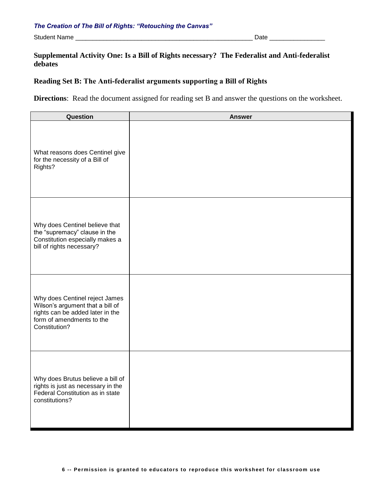#### *The Creation of The Bill of Rights: "Retouching the Canvas"*

Student Name \_\_\_\_\_\_\_\_\_\_\_\_\_\_\_\_\_\_\_\_\_\_\_\_\_\_\_\_\_\_\_\_\_\_\_\_\_\_\_\_\_\_\_\_\_\_\_\_\_\_\_ Date \_\_\_\_\_\_\_\_\_\_\_\_\_\_\_\_

### **Supplemental Activity One: Is a Bill of Rights necessary? The Federalist and Anti-federalist debates**

# **Reading Set B: The Anti-federalist arguments supporting a Bill of Rights**

**Directions**: Read the document assigned for reading set B and answer the questions on the worksheet.

| Question                                                                                                                                             | <b>Answer</b> |
|------------------------------------------------------------------------------------------------------------------------------------------------------|---------------|
| What reasons does Centinel give<br>for the necessity of a Bill of<br>Rights?                                                                         |               |
| Why does Centinel believe that<br>the "supremacy" clause in the<br>Constitution especially makes a<br>bill of rights necessary?                      |               |
| Why does Centinel reject James<br>Wilson's argument that a bill of<br>rights can be added later in the<br>form of amendments to the<br>Constitution? |               |
| Why does Brutus believe a bill of<br>rights is just as necessary in the<br>Federal Constitution as in state<br>constitutions?                        |               |